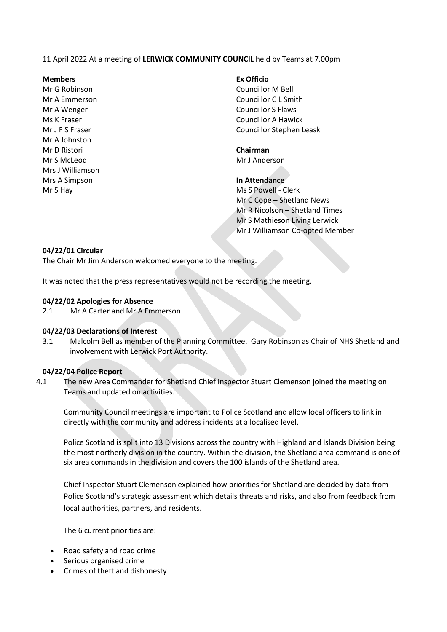11 April 2022 At a meeting of **LERWICK COMMUNITY COUNCIL** held by Teams at 7.00pm

#### **Members Ex Officio**

Mr G Robinson Councillor M Bell Mr A Johnston Mr D Ristori **Chairman** Mr S McLeod Mr J Anderson Mrs J Williamson Mrs A Simpson **In Attendance**

Mr A Emmerson Councillor C L Smith Mr A Wenger North Councillor S Flaws Ms K Fraser Councillor A Hawick Mr J F S Fraser Councillor Stephen Leask

Mr S Hay Ms S Powell - Clerk Mr C Cope – Shetland News Mr R Nicolson – Shetland Times Mr S Mathieson Living Lerwick Mr J Williamson Co-opted Member

## **04/22/01 Circular**

The Chair Mr Jim Anderson welcomed everyone to the meeting.

It was noted that the press representatives would not be recording the meeting.

#### **04/22/02 Apologies for Absence**

2.1 Mr A Carter and Mr A Emmerson

#### **04/22/03 Declarations of Interest**

3.1 Malcolm Bell as member of the Planning Committee. Gary Robinson as Chair of NHS Shetland and involvement with Lerwick Port Authority.

#### **04/22/04 Police Report**

4.1 The new Area Commander for Shetland Chief Inspector Stuart Clemenson joined the meeting on Teams and updated on activities.

Community Council meetings are important to Police Scotland and allow local officers to link in directly with the community and address incidents at a localised level.

Police Scotland is split into 13 Divisions across the country with Highland and Islands Division being the most northerly division in the country. Within the division, the Shetland area command is one of six area commands in the division and covers the 100 islands of the Shetland area.

Chief Inspector Stuart Clemenson explained how priorities for Shetland are decided by data from Police Scotland's strategic assessment which details threats and risks, and also from feedback from local authorities, partners, and residents.

The 6 current priorities are:

- Road safety and road crime
- Serious organised crime
- Crimes of theft and dishonesty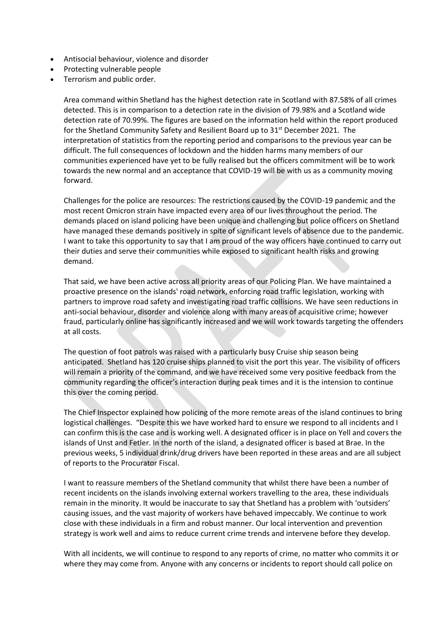- Antisocial behaviour, violence and disorder
- Protecting vulnerable people
- Terrorism and public order.

Area command within Shetland has the highest detection rate in Scotland with 87.58% of all crimes detected. This is in comparison to a detection rate in the division of 79.98% and a Scotland wide detection rate of 70.99%. The figures are based on the information held within the report produced for the Shetland Community Safety and Resilient Board up to 31<sup>st</sup> December 2021. The interpretation of statistics from the reporting period and comparisons to the previous year can be difficult. The full consequences of lockdown and the hidden harms many members of our communities experienced have yet to be fully realised but the officers commitment will be to work towards the new normal and an acceptance that COVID-19 will be with us as a community moving forward.

Challenges for the police are resources: The restrictions caused by the COVID-19 pandemic and the most recent Omicron strain have impacted every area of our lives throughout the period. The demands placed on island policing have been unique and challenging but police officers on Shetland have managed these demands positively in spite of significant levels of absence due to the pandemic. I want to take this opportunity to say that I am proud of the way officers have continued to carry out their duties and serve their communities while exposed to significant health risks and growing demand.

That said, we have been active across all priority areas of our Policing Plan. We have maintained a proactive presence on the islands' road network, enforcing road traffic legislation, working with partners to improve road safety and investigating road traffic collisions. We have seen reductions in anti-social behaviour, disorder and violence along with many areas of acquisitive crime; however fraud, particularly online has significantly increased and we will work towards targeting the offenders at all costs.

The question of foot patrols was raised with a particularly busy Cruise ship season being anticipated. Shetland has 120 cruise ships planned to visit the port this year. The visibility of officers will remain a priority of the command, and we have received some very positive feedback from the community regarding the officer's interaction during peak times and it is the intension to continue this over the coming period.

The Chief Inspector explained how policing of the more remote areas of the island continues to bring logistical challenges. "Despite this we have worked hard to ensure we respond to all incidents and I can confirm this is the case and is working well. A designated officer is in place on Yell and covers the islands of Unst and Fetler. In the north of the island, a designated officer is based at Brae. In the previous weeks, 5 individual drink/drug drivers have been reported in these areas and are all subject of reports to the Procurator Fiscal.

I want to reassure members of the Shetland community that whilst there have been a number of recent incidents on the islands involving external workers travelling to the area, these individuals remain in the minority. It would be inaccurate to say that Shetland has a problem with 'outsiders' causing issues, and the vast majority of workers have behaved impeccably. We continue to work close with these individuals in a firm and robust manner. Our local intervention and prevention strategy is work well and aims to reduce current crime trends and intervene before they develop.

With all incidents, we will continue to respond to any reports of crime, no matter who commits it or where they may come from. Anyone with any concerns or incidents to report should call police on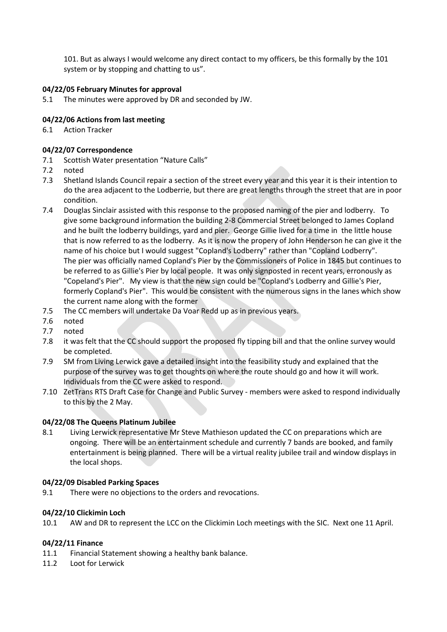101. But as always I would welcome any direct contact to my officers, be this formally by the 101 system or by stopping and chatting to us".

# **04/22/05 February Minutes for approval**

5.1 The minutes were approved by DR and seconded by JW.

# **04/22/06 Actions from last meeting**

6.1 Action Tracker

# **04/22/07 Correspondence**

- 7.1 Scottish Water presentation "Nature Calls"
- 7.2 noted
- 7.3 Shetland Islands Council repair a section of the street every year and this year it is their intention to do the area adjacent to the Lodberrie, but there are great lengths through the street that are in poor condition.
- 7.4 Douglas Sinclair assisted with this response to the proposed naming of the pier and lodberry. To give some background information the building 2-8 Commercial Street belonged to James Copland and he built the lodberry buildings, yard and pier. George Gillie lived for a time in the little house that is now referred to as the lodberry. As it is now the propery of John Henderson he can give it the name of his choice but I would suggest "Copland's Lodberry" rather than "Copland Lodberry". The pier was officially named Copland's Pier by the Commissioners of Police in 1845 but continues to be referred to as Gillie's Pier by local people. It was only signposted in recent years, erronously as "Copeland's Pier". My view is that the new sign could be "Copland's Lodberry and Gillie's Pier, formerly Copland's Pier". This would be consistent with the numerous signs in the lanes which show the current name along with the former
- 7.5 The CC members will undertake Da Voar Redd up as in previous years.
- 7.6 noted
- 7.7 noted
- 7.8 it was felt that the CC should support the proposed fly tipping bill and that the online survey would be completed.
- 7.9 SM from Living Lerwick gave a detailed insight into the feasibility study and explained that the purpose of the survey was to get thoughts on where the route should go and how it will work. Individuals from the CC were asked to respond.
- 7.10 ZetTrans RTS Draft Case for Change and Public Survey members were asked to respond individually to this by the 2 May.

## **04/22/08 The Queens Platinum Jubilee**

8.1 Living Lerwick representative Mr Steve Mathieson updated the CC on preparations which are ongoing. There will be an entertainment schedule and currently 7 bands are booked, and family entertainment is being planned. There will be a virtual reality jubilee trail and window displays in the local shops.

## **04/22/09 Disabled Parking Spaces**

9.1 There were no objections to the orders and revocations.

# **04/22/10 Clickimin Loch**

10.1 AW and DR to represent the LCC on the Clickimin Loch meetings with the SIC. Next one 11 April.

## **04/22/11 Finance**

- 11.1 Financial Statement showing a healthy bank balance.
- 11.2 Loot for Lerwick